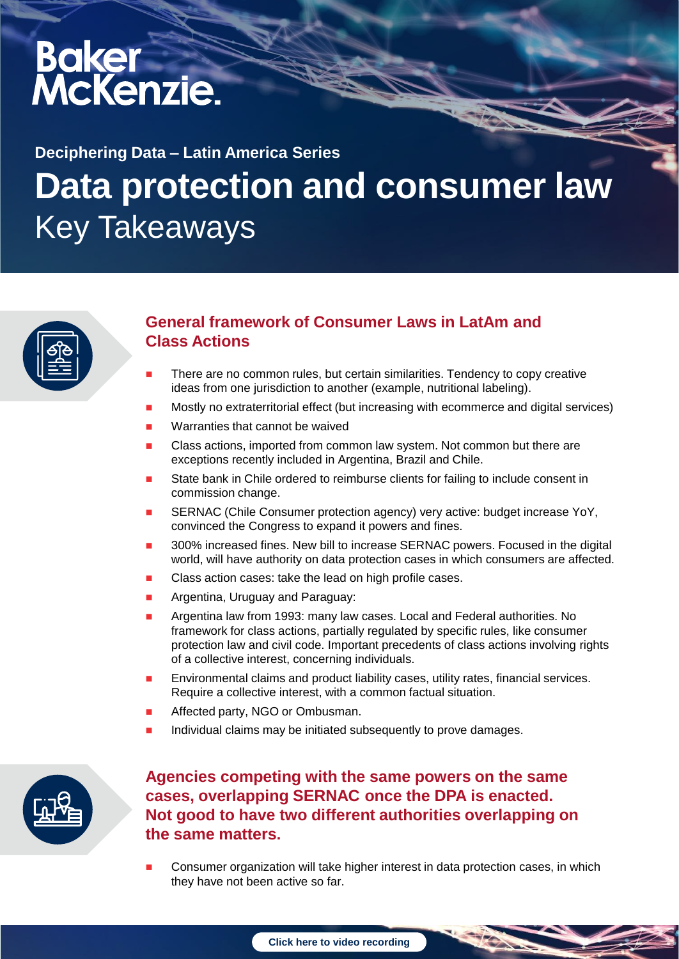# Baker<br>McKenzie.

## **Data protection and consumer law** Key Takeaways **Deciphering Data – Latin America Series**



### **General framework of Consumer Laws in LatAm and Class Actions**

- There are no common rules, but certain similarities. Tendency to copy creative ideas from one jurisdiction to another (example, nutritional labeling).
- Mostly no extraterritorial effect (but increasing with ecommerce and digital services)
- Warranties that cannot be waived
- Class actions, imported from common law system. Not common but there are exceptions recently included in Argentina, Brazil and Chile.
- State bank in Chile ordered to reimburse clients for failing to include consent in commission change.
- SERNAC (Chile Consumer protection agency) very active: budget increase YoY, convinced the Congress to expand it powers and fines.
- 300% increased fines. New bill to increase SERNAC powers. Focused in the digital world, will have authority on data protection cases in which consumers are affected.
- Class action cases: take the lead on high profile cases.
- Argentina, Uruguay and Paraguay:
- Argentina law from 1993: many law cases. Local and Federal authorities. No framework for class actions, partially regulated by specific rules, like consumer protection law and civil code. Important precedents of class actions involving rights of a collective interest, concerning individuals.
- Environmental claims and product liability cases, utility rates, financial services. Require a collective interest, with a common factual situation.
- Affected party, NGO or Ombusman.
- Individual claims may be initiated subsequently to prove damages.



#### **Agencies competing with the same powers on the same cases, overlapping SERNAC once the DPA is enacted. Not good to have two different authorities overlapping on the same matters.**

 Consumer organization will take higher interest in data protection cases, in which they have not been active so far.